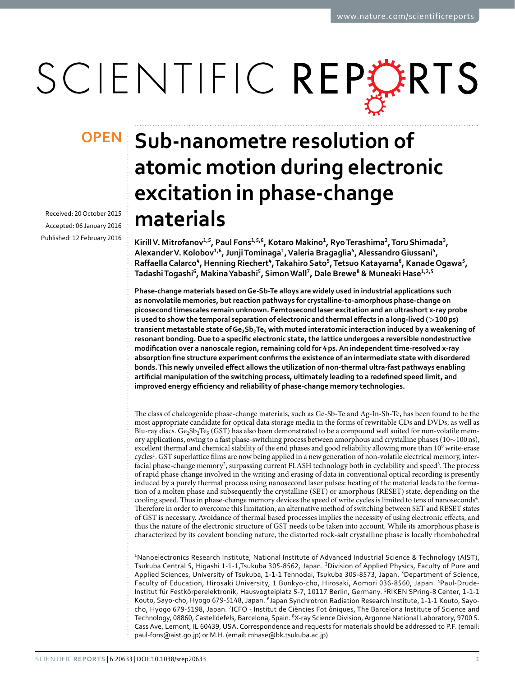# SCIENTIFIC REPORTS

Received: 20 October 2015 accepted: 06 January 2016 Published: 12 February 2016

# **OPEN** Sub-nanometre resolution of **atomic motion during electronic excitation in phase-change materials**

Kirill V. Mitrofanov<sup>1,5</sup>, Paul Fons<sup>1,5,6</sup>, Kotaro Makino<sup>1</sup>, Ryo Terashima<sup>2</sup>, Toru Shimada<sup>3</sup>, **AlexanderV. Kolobov<sup>1</sup>,<sup>6</sup>, JunjiTominaga<sup>1</sup>, Valeria Bragaglia<sup>4</sup>, AlessandroGiussani<sup>4</sup>, Raffaella Calarco<sup>4</sup>, Henning Riechert<sup>4</sup>, Takahiro Sato<sup>5</sup>, Tetsuo Katayama<sup>6</sup>, KanadeOgawa<sup>5</sup>, TadashiTogashi<sup>6</sup>, MakinaYabashi<sup>5</sup>, SimonWall<sup>7</sup>, Dale Brewe<sup>8</sup> & Muneaki Hase<sup>1</sup>,2,<sup>5</sup>**

**Phase-change materials based on Ge-Sb-Te alloys are widely used in industrial applications such as nonvolatile memories, but reaction pathways for crystalline-to-amorphous phase-change on picosecond timescales remain unknown. Femtosecond laser excitation and an ultrashort x-ray probe is used to show the temporal separation of electronic and thermal effects in a long-lived (>100ps) transient metastable state of Ge2Sb2Te5 with muted interatomic interaction induced by a weakening of resonant bonding. Due to a specific electronic state,the lattice undergoes a reversible nondestructive modification over a nanoscale region, remaining cold for 4ps.An independenttime-resolved x-ray absorption fine structure experiment confirms the existence of an intermediate state with disordered bonds.This newly unveiled effect allows the utilization of non-thermal ultra-fast pathways enabling artificial manipulation ofthe switching process, ultimately leading to a redefined speed limit, and improved energy efficiency and reliability of phase-change memory technologies.**

The class of chalcogenide phase-change materials, such as Ge-Sb-Te and Ag-In-Sb-Te, has been found to be the most appropriate candidate for optical data storage media in the forms of rewritable CDs and DVDs, as well as Blu-ray discs. Ge<sub>2</sub>Sb<sub>2</sub>Te<sub>5</sub> (GST) has also been demonstrated to be a compound well suited for non-volatile memory applications, owing to a fast phase-switching process between amorphous and crystalline phases (10∼100ns), excellent thermal and chemical stability of the end phases and good reliability allowing more than 10<sup>9</sup> write-erase cycles<sup>[1](#page-6-0)</sup>. GST superlattice films are now being applied in a new generation of non-volatile electrical memory, inter-facial phase-change memory<sup>2</sup>, surpassing current FLASH technology both in cyclability and speed<sup>[3](#page-6-2)</sup>. The process of rapid phase change involved in the writing and erasing of data in conventional optical recording is presently induced by a purely thermal process using nanosecond laser pulses: heating of the material leads to the formation of a molten phase and subsequently the crystalline (SET) or amorphous (RESET) state, depending on the cooling speed. Thus in phase-change memory devices the speed of write cycles is limited to tens of nanoseconds<sup>[4](#page-6-3)</sup>. Therefore in order to overcome this limitation, an alternative method of switching between SET and RESET states of GST is necessary. Avoidance of thermal based processes implies the necessity of using electronic effects, and thus the nature of the electronic structure of GST needs to be taken into account. While its amorphous phase is characterized by its covalent bonding nature, the distorted rock-salt crystalline phase is locally rhombohedral

<sup>1</sup>Nanoelectronics Research Institute, National Institute of Advanced Industrial Science & Technology (AIST), Tsukuba Central 5, Higashi 1-1-1,Tsukuba 305-8562, Japan. 2Division of Applied Physics, Faculty of Pure and Applied Sciences, University of Tsukuba, 1-1-1 Tennodai, Tsukuba 305-8573, Japan. <sup>3</sup>Department of Science, Faculty of Education, Hirosaki University, 1 Bunkyo-cho, Hirosaki, Aomori 036-8560, Japan. <sup>4</sup>Paul-Drude-Institut für Festkörperelektronik, Hausvogteiplatz 5-7, 10117 Berlin, Germany. 5RIKEN SPring-8 Center, 1-1-1 Kouto, Sayo-cho, Hyogo 679-5148, Japan. 6Japan Synchrotron Radiation Research Institute, 1-1-1 Kouto, Sayocho, Hyogo 679-5198, Japan. 7ICFO - Institut de Ciències Fot òniques, The Barcelona Institute of Science and Technology, 08860, Castelldefels, Barcelona, Spain. <sup>8</sup>X-ray Science Division, Argonne National Laboratory, 9700 S. Cass Ave, Lemont, IL 60439, USA. Correspondence and requests for materials should be addressed to P.F. (email: [paul-fons@aist.go.jp\)](mailto:paul-fons@aist.go.jp) or M.H. (email: [mhase@bk.tsukuba.ac.jp\)](mailto:mhase@bk.tsukuba.ac.jp)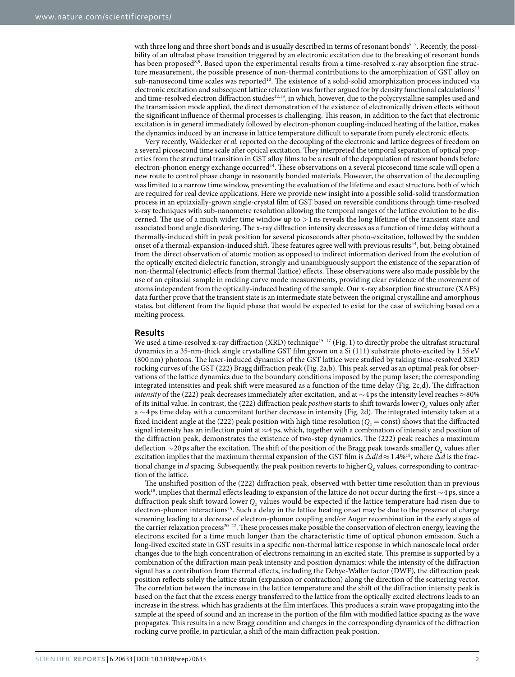with three long and three short bonds and is usually described in terms of resonant bonds<sup>5-7</sup>. Recently, the possibility of an ultrafast phase transition triggered by an electronic excitation due to the breaking of resonant bonds has been proposed<sup>[8,](#page-6-5)9</sup>. Based upon the experimental results from a time-resolved x-ray absorption fine structure measurement, the possible presence of non-thermal contributions to the amorphization of GST alloy on sub-nanosecond time scales was reported<sup>10</sup>. The existence of a solid-solid amorphization process induced via electronic excitation and subsequent lattice relaxation was further argued for by density functional calculations<sup>11</sup> and time-resolved electron diffraction studies<sup>12,[13](#page-7-4)</sup>, in which, however, due to the polycrystalline samples used and the transmission mode applied, the direct demonstration of the existence of electronically driven effects without the significant influence of thermal processes is challenging. This reason, in addition to the fact that electronic excitation is in general immediately followed by electron-phonon coupling-induced heating of the lattice, makes the dynamics induced by an increase in lattice temperature difficult to separate from purely electronic effects.

Very recently, Waldecker *et al.* reported on the decoupling of the electronic and lattice degrees of freedom on a several picosecond time scale after optical excitation. They interpreted the temporal separation of optical properties from the structural transition in GST alloy films to be a result of the depopulation of resonant bonds before electron-phonon energy exchange occurred[14.](#page-7-5) These observations on a several picosecond time scale will open a new route to control phase change in resonantly bonded materials. However, the observation of the decoupling was limited to a narrow time window, preventing the evaluation of the lifetime and exact structure, both of which are required for real device applications. Here we provide new insight into a possible solid-solid transformation process in an epitaxially-grown single-crystal film of GST based on reversible conditions through time-resolved x-ray techniques with sub-nanometre resolution allowing the temporal ranges of the lattice evolution to be discerned. The use of a much wider time window up to  $>1$  ns reveals the long lifetime of the transient state and associated bond angle disordering. The x-ray diffraction intensity decreases as a function of time delay without a thermally-induced shift in peak position for several picoseconds after photo-excitation, followed by the sudden onset of a thermal-expansion-induced shift. These features agree well with previous results<sup>14</sup>, but, being obtained from the direct observation of atomic motion as opposed to indirect information derived from the evolution of the optically excited dielectric function, strongly and unambiguously support the existence of the separation of non-thermal (electronic) effects from thermal (lattice) effects. These observations were also made possible by the use of an epitaxial sample in rocking curve mode measurements, providing clear evidence of the movement of atoms independent from the optically-induced heating of the sample. Our x-ray absorption fine structure (XAFS) data further prove that the transient state is an intermediate state between the original crystalline and amorphous states, but different from the liquid phase that would be expected to exist for the case of switching based on a melting process.

### **Results**

We used a time-resolved x-ray diffraction (XRD) technique<sup>15-17</sup> ([Fig. 1\)](#page-2-0) to directly probe the ultrafast structural dynamics in a 35-nm-thick single crystalline GST film grown on a Si (111) substrate photo-excited by 1.55 eV (800 nm) photons. The laser-induced dynamics of the GST lattice were studied by taking time-resolved XRD rocking curves of the GST (222) Bragg diffraction peak ([Fig. 2a,b\)](#page-3-0). This peak served as an optimal peak for observations of the lattice dynamics due to the boundary conditions imposed by the pump laser; the corresponding integrated intensities and peak shift were measured as a function of the time delay [\(Fig. 2c,d\)](#page-3-0). The diffraction *intensity* of the (222) peak decreases immediately after excitation, and at ∼4ps the intensity level reaches ≈80% of its initial value. In contrast, the (222) diffraction peak *position* starts to shift towards lower *Qz* values only after a ∼4ps time delay with a concomitant further decrease in intensity [\(Fig. 2d\)](#page-3-0). The integrated intensity taken at a fixed incident angle at the (222) peak position with high time resolution  $(Q_z = const)$  shows that the diffracted signal intensity has an inflection point at ≈4ps, which, together with a combination of intensity and position of the diffraction peak, demonstrates the existence of two-step dynamics. The (222) peak reaches a maximum deflection ∼20ps after the excitation. The shift of the position of the Bragg peak towards smaller *Qz* values after excitation implies that the maximum thermal expansion of the GST film is Δ*d*/*d*≈ 1.4[%18,](#page-7-7) where Δ*d* is the fractional change in *d* spacing. Subsequently, the peak position reverts to higher *Q<sub>z</sub>* values, corresponding to contraction of the lattice.

The unshifted position of the (222) diffraction peak, observed with better time resolution than in previous work[18,](#page-7-7) implies that thermal effects leading to expansion of the lattice do not occur during the first ∼4ps, since a diffraction peak shift toward lower *Qz* values would be expected if the lattice temperature had risen due to electron-phonon interactions<sup>19</sup>. Such a delay in the lattice heating onset may be due to the presence of charge screening leading to a decrease of electron-phonon coupling and/or Auger recombination in the early stages of the carrier relaxation process<sup>[20–22](#page-7-9)</sup>. These processes make possible the conservation of electron energy, leaving the electrons excited for a time much longer than the characteristic time of optical phonon emission. Such a long-lived excited state in GST results in a specific non-thermal lattice response in which nanoscale local order changes due to the high concentration of electrons remaining in an excited state. This premise is supported by a combination of the diffraction main peak intensity and position dynamics: while the intensity of the diffraction signal has a contribution from thermal effects, including the Debye-Waller factor (DWF), the diffraction peak position reflects solely the lattice strain (expansion or contraction) along the direction of the scattering vector. The correlation between the increase in the lattice temperature and the shift of the diffraction intensity peak is based on the fact that the excess energy transferred to the lattice from the optically excited electrons leads to an increase in the stress, which has gradients at the film interfaces. This produces a strain wave propagating into the sample at the speed of sound and an increase in the portion of the film with modified lattice spacing as the wave propagates. This results in a new Bragg condition and changes in the corresponding dynamics of the diffraction rocking curve profile, in particular, a shift of the main diffraction peak position.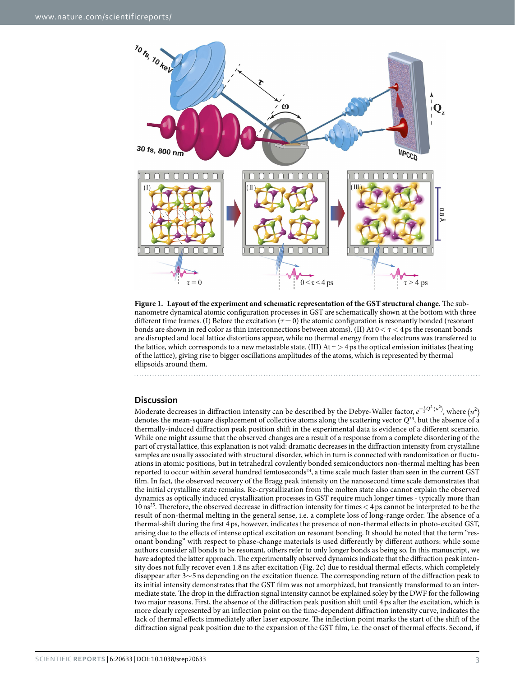

<span id="page-2-0"></span>**Figure 1. Layout of the experiment and schematic representation of the GST structural change.** The subnanometre dynamical atomic configuration processes in GST are schematically shown at the bottom with three different time frames. (I) Before the excitation (*τ*= 0) the atomic configuration is resonantly bonded (resonant bonds are shown in red color as thin interconnections between atoms). (II) At  $0 < \tau < 4$  ps the resonant bonds are disrupted and local lattice distortions appear, while no thermal energy from the electrons was transferred to the lattice, which corresponds to a new metastable state. (III) At  $\tau > 4$  ps the optical emission initiates (heating of the lattice), giving rise to bigger oscillations amplitudes of the atoms, which is represented by thermal ellipsoids around them.

# **Discussion**

Moderate decreases in diffraction intensity can be described by the Debye-Waller factor,  $e^{-\frac{1}{2}Q^2\langle u^2\rangle}$ , where  $\langle u^2\rangle$ denotes the mean-square displacement of collective atoms along the scattering vector *Q*[23,](#page-7-10) but the absence of a thermally-induced diffraction peak position shift in the experimental data is evidence of a different scenario. While one might assume that the observed changes are a result of a response from a complete disordering of the part of crystal lattice, this explanation is not valid: dramatic decreases in the diffraction intensity from crystalline samples are usually associated with structural disorder, which in turn is connected with randomization or fluctuations in atomic positions, but in tetrahedral covalently bonded semiconductors non-thermal melting has been reported to occur within several hundred femtoseconds<sup>24</sup>, a time scale much faster than seen in the current GST film. In fact, the observed recovery of the Bragg peak intensity on the nanosecond time scale demonstrates that the initial crystalline state remains. Re-crystallization from the molten state also cannot explain the observed dynamics as optically induced crystallization processes in GST require much longer times - typically more than  $10 \text{ ns}^{25}$  $10 \text{ ns}^{25}$  $10 \text{ ns}^{25}$ . Therefore, the observed decrease in diffraction intensity for times  $<$  4 ps cannot be interpreted to be the result of non-thermal melting in the general sense, i.e. a complete loss of long-range order. The absence of a thermal-shift during the first 4ps, however, indicates the presence of non-thermal effects in photo-excited GST, arising due to the effects of intense optical excitation on resonant bonding. It should be noted that the term "resonant bonding" with respect to phase-change materials is used differently by different authors: while some authors consider all bonds to be resonant, others refer to only longer bonds as being so. In this manuscript, we have adopted the latter approach. The experimentally observed dynamics indicate that the diffraction peak intensity does not fully recover even 1.8ns after excitation ([Fig. 2c\)](#page-3-0) due to residual thermal effects, which completely disappear after 3∼5ns depending on the excitation fluence. The corresponding return of the diffraction peak to its initial intensity demonstrates that the GST film was not amorphized, but transiently transformed to an intermediate state. The drop in the diffraction signal intensity cannot be explained soley by the DWF for the following two major reasons. First, the absence of the diffraction peak position shift until 4ps after the excitation, which is more clearly represented by an inflection point on the time-dependent diffraction intensity curve, indicates the lack of thermal effects immediately after laser exposure. The inflection point marks the start of the shift of the diffraction signal peak position due to the expansion of the GST film, i.e. the onset of thermal effects. Second, if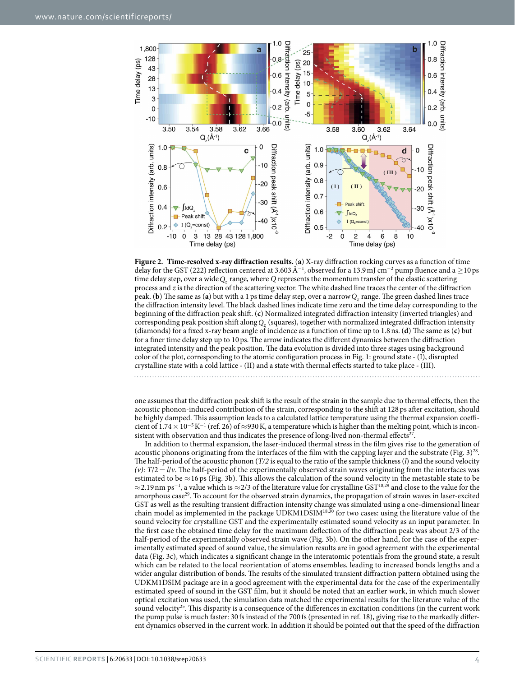

<span id="page-3-0"></span>

one assumes that the diffraction peak shift is the result of the strain in the sample due to thermal effects, then the acoustic phonon-induced contribution of the strain, corresponding to the shift at 128 ps after excitation, should be highly damped. This assumption leads to a calculated lattice temperature using the thermal expansion coefficient of  $1.74 \times 10^{-5}$  K<sup>-1</sup> (ref. [26](#page-7-13)) of ≈930 K, a temperature which is higher than the melting point, which is inconsistent with observation and thus indicates the presence of long-lived non-thermal effects<sup>27</sup>.

In addition to thermal expansion, the laser-induced thermal stress in the film gives rise to the generation of acoustic phonons originating from the interfaces of the film with the capping layer and the substrate (Fig.  $3)^{28}$ . The half-period of the acoustic phonon (*T/2* is equal to the ratio of the sample thickness (*l*) and the sound velocity *(v)*: *T*/2= *l*/*v*. The half-period of the experimentally observed strain waves originating from the interfaces was estimated to be  $\approx$ 16 ps [\(Fig. 3b](#page-4-0)). This allows the calculation of the sound velocity in the metastable state to be  $\approx$ 2.19 $\rm nm$  ps $^{-1}$ , a value which is  $\approx$ 2/3 of the literature value for crystalline GST $^{18,29}$  $^{18,29}$  $^{18,29}$  $^{18,29}$  $^{18,29}$  and close to the value for the amorphous case<sup>[29](#page-7-16)</sup>. To account for the observed strain dynamics, the propagation of strain waves in laser-excited GST as well as the resulting transient diffraction intensity change was simulated using a one-dimensional linear chain model as implemented in the package UDKM1DSIM<sup>18[,30](#page-7-17)</sup> for two cases: using the literature value of the sound velocity for crystalline GST and the experimentally estimated sound velocity as an input parameter. In the first case the obtained time delay for the maximum deflection of the diffraction peak was about 2/3 of the half-period of the experimentally observed strain wave ([Fig. 3b\)](#page-4-0). On the other hand, for the case of the experimentally estimated speed of sound value, the simulation results are in good agreement with the experimental data [\(Fig. 3c](#page-4-0)), which indicates a significant change in the interatomic potentials from the ground state, a result which can be related to the local reorientation of atoms ensembles, leading to increased bonds lengths and a wider angular distribution of bonds. The results of the simulated transient diffraction pattern obtained using the UDKM1DSIM package are in a good agreement with the experimental data for the case of the experimentally estimated speed of sound in the GST film, but it should be noted that an earlier work, in which much slower optical excitation was used, the simulation data matched the experimental results for the literature value of the sound velocity<sup>25</sup>. This disparity is a consequence of the differences in excitation conditions (in the current work the pump pulse is much faster: 30 fs instead of the 700 fs (presented in ref. [18\)](#page-7-7), giving rise to the markedly different dynamics observed in the current work. In addition it should be pointed out that the speed of the diffraction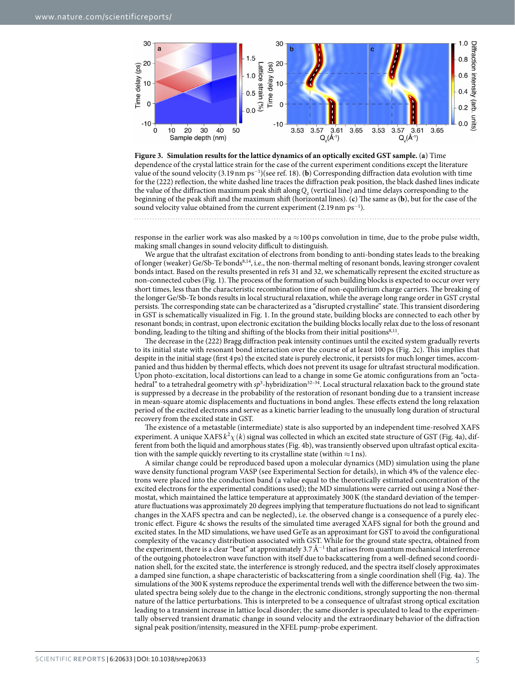

<span id="page-4-0"></span>**Figure 3. Simulation results for the lattice dynamics of an optically excited GST sample.** (**a**) Time dependence of the crystal lattice strain for the case of the current experiment conditions except the literature value of the sound velocity (3.19nm ps<sup>−</sup><sup>1</sup> )(see ref. [18\)](#page-7-7). (**b**) Corresponding diffraction data evolution with time for the (222) reflection, the white dashed line traces the diffraction peak position, the black dashed lines indicate the value of the diffraction maximum peak shift along *Qz* (vertical line) and time delays corresponding to the beginning of the peak shift and the maximum shift (horizontal lines). (**c**) The same as (**b**), but for the case of the sound velocity value obtained from the current experiment (2.19 nm ps<sup>-1</sup>).

response in the earlier work was also masked by a  $\approx$ 100 ps convolution in time, due to the probe pulse width, making small changes in sound velocity difficult to distinguish.

We argue that the ultrafast excitation of electrons from bonding to anti-bonding states leads to the breaking of longer (weaker) Ge/Sb-Te bond[s8](#page-6-5)[,14](#page-7-5), i.e., the non-thermal melting of resonant bonds, leaving stronger covalent bonds intact. Based on the results presented in refs [31](#page-7-18) and [32,](#page-7-19) we schematically represent the excited structure as non-connected cubes ([Fig. 1](#page-2-0)). The process of the formation of such building blocks is expected to occur over very short times, less than the characteristic recombination time of non-equilibrium charge carriers. The breaking of the longer Ge/Sb-Te bonds results in local structural relaxation, while the average long range order in GST crystal persists. The corresponding state can be characterized as a "disrupted crystalline" state. This transient disordering in GST is schematically visualized in [Fig. 1.](#page-2-0) In the ground state, building blocks are connected to each other by resonant bonds; in contrast, upon electronic excitation the building blocks locally relax due to the loss of resonant bonding, leading to the tilting and shifting of the blocks from their initial positions<sup>[8,](#page-6-5)11</sup>.

The decrease in the (222) Bragg diffraction peak intensity continues until the excited system gradually reverts to its initial state with resonant bond interaction over the course of at least 100 ps [\(Fig. 2c\)](#page-3-0). This implies that despite in the initial stage (first 4ps) the excited state is purely electronic, it persists for much longer times, accompanied and thus hidden by thermal effects, which does not prevent its usage for ultrafast structural modification. Upon photo-excitation, local distortions can lead to a change in some Ge atomic configurations from an "octahedral" to a tetrahedral geometry with sp<sup>3</sup>-hybridization<sup>32–34</sup>. Local structural relaxation back to the ground state is suppressed by a decrease in the probability of the restoration of resonant bonding due to a transient increase in mean-square atomic displacements and fluctuations in bond angles. These effects extend the long relaxation period of the excited electrons and serve as a kinetic barrier leading to the unusually long duration of structural recovery from the excited state in GST.

The existence of a metastable (intermediate) state is also supported by an independent time-resolved XAFS experiment. A unique XAFS  $k^2 \chi(k)$  signal was collected in which an excited state structure of GST [\(Fig. 4a\)](#page-5-0), different from both the liquid and amorphous states ([Fig. 4b\)](#page-5-0), was transiently observed upon ultrafast optical excitation with the sample quickly reverting to its crystalline state (within  $\approx$ 1 ns).

A similar change could be reproduced based upon a molecular dynamics (MD) simulation using the plane wave density functional program VASP (see Experimental Section for details), in which 4% of the valence electrons were placed into the conduction band (a value equal to the theoretically estimated concentration of the excited electrons for the experimental conditions used); the MD simulations were carried out using a Nosé thermostat, which maintained the lattice temperature at approximately 300K (the standard deviation of the temperature fluctuations was approximately 20 degrees implying that temperature fluctuations do not lead to significant changes in the XAFS spectra and can be neglected), i.e. the observed change is a consequence of a purely electronic effect. [Figure 4c](#page-5-0) shows the results of the simulated time averaged XAFS signal for both the ground and excited states. In the MD simulations, we have used GeTe as an approximant for GST to avoid the configurational complexity of the vacancy distribution associated with GST. While for the ground state spectra, obtained from the experiment, there is a clear "beat" at approximately 3.7  $\AA^{-1}$  that arises from quantum mechanical interference of the outgoing photoelectron wave function with itself due to backscattering from a well-defined second coordination shell, for the excited state, the interference is strongly reduced, and the spectra itself closely approximates a damped sine function, a shape characteristic of backscattering from a single coordination shell ([Fig. 4a\)](#page-5-0). The simulations of the 300K systems reproduce the experimental trends well with the difference between the two simulated spectra being solely due to the change in the electronic conditions, strongly supporting the non-thermal nature of the lattice perturbations. This is interpreted to be a consequence of ultrafast strong optical excitation leading to a transient increase in lattice local disorder; the same disorder is speculated to lead to the experimentally observed transient dramatic change in sound velocity and the extraordinary behavior of the diffraction signal peak position/intensity, measured in the XFEL pump-probe experiment.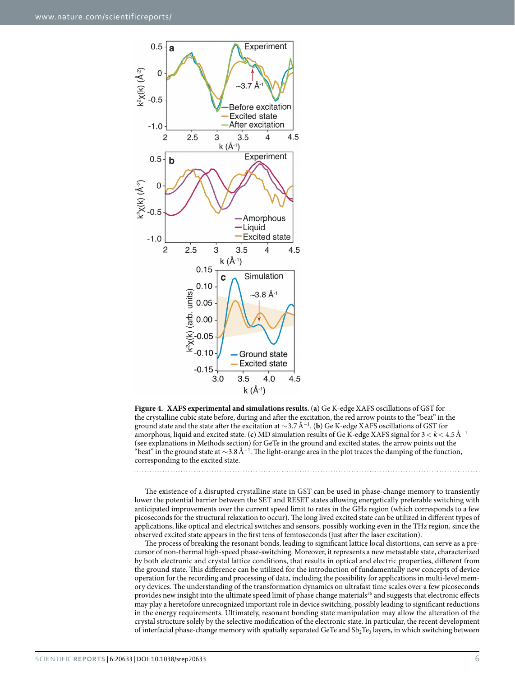

<span id="page-5-0"></span>

The existence of a disrupted crystalline state in GST can be used in phase-change memory to transiently lower the potential barrier between the SET and RESET states allowing energetically preferable switching with anticipated improvements over the current speed limit to rates in the GHz region (which corresponds to a few picoseconds for the structural relaxation to occur). The long lived excited state can be utilized in different types of applications, like optical and electrical switches and sensors, possibly working even in the THz region, since the observed excited state appears in the first tens of femtoseconds (just after the laser excitation).

The process of breaking the resonant bonds, leading to significant lattice local distortions, can serve as a precursor of non-thermal high-speed phase-switching. Moreover, it represents a new metastable state, characterized by both electronic and crystal lattice conditions, that results in optical and electric properties, different from the ground state. This difference can be utilized for the introduction of fundamentally new concepts of device operation for the recording and processing of data, including the possibility for applications in multi-level memory devices. The understanding of the transformation dynamics on ultrafast time scales over a few picoseconds provides new insight into the ultimate speed limit of phase change materials<sup>35</sup> and suggests that electronic effects may play a heretofore unrecognized important role in device switching, possibly leading to significant reductions in the energy requirements. Ultimately, resonant bonding state manipulation may allow the alteration of the crystal structure solely by the selective modification of the electronic state. In particular, the recent development of interfacial phase-change memory with spatially separated GeTe and Sb<sub>2</sub>Te<sub>3</sub> layers, in which switching between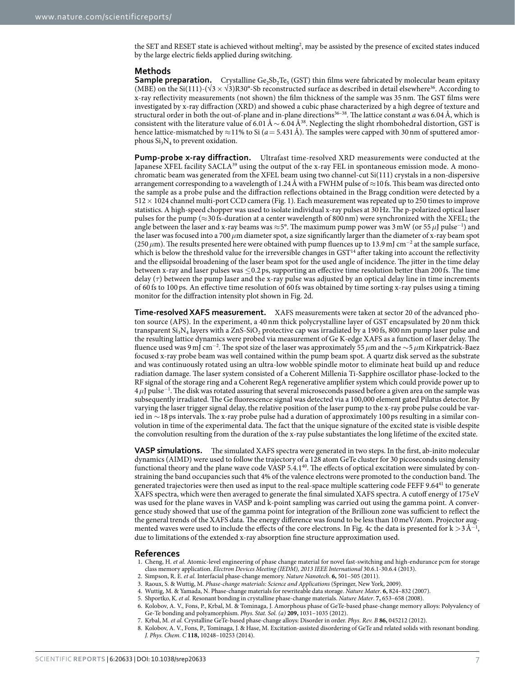the SET and RESET state is achieved without melting<sup>[2](#page-6-1)</sup>, may be assisted by the presence of excited states induced by the large electric fields applied during switching.

### **Methods**

**Sample preparation.** Crystalline  $Ge_2Sb_2Te_5$  (GST) thin films were fabricated by molecular beam epitaxy (MBE) on the Si(111)-( $\sqrt{3} \times \sqrt{3}$ )R30°-Sb reconstructed surface as described in detail elsewhere<sup>[36](#page-7-21)</sup>. According to x-ray reflectivity measurements (not shown) the film thickness of the sample was 35 nm. The GST films were investigated by x-ray diffraction (XRD) and showed a cubic phase characterized by a high degree of texture and structural order in both the out-of-plane and in-plane directions<sup>36-38</sup>. The lattice constant *a* was 6.04 Å, which is consistent with the literature value of 6.01Å ∼ 6.04Å<sup>38</sup>. Neglecting the slight rhombohedral distortion, GST is hence lattice-mismatched by  $\approx$ 11% to Si ( $a$  = 5.431Å). The samples were capped with 30 nm of sputtered amorphous  $Si_3N_4$  to prevent oxidation.

**Pump-probe x-ray diffraction.** Ultrafast time-resolved XRD measurements were conducted at the Japanese XFEL facility  $SACLA<sup>39</sup>$  $SACLA<sup>39</sup>$  $SACLA<sup>39</sup>$  using the output of the x-ray FEL in spontaneous emission mode. A monochromatic beam was generated from the XFEL beam using two channel-cut Si(111) crystals in a non-dispersive arrangement corresponding to a wavelength of 1.24Å with a FWHM pulse of  $\approx$ 10fs. This beam was directed onto the sample as a probe pulse and the diffraction reflections obtained in the Bragg condition were detected by a 512× 1024 channel multi-port CCD camera [\(Fig. 1\)](#page-2-0). Each measurement was repeated up to 250 times to improve statistics. A high-speed chopper was used to isolate individual x-ray pulses at 30Hz. The p-polarized optical laser pulses for the pump ( $\approx$ 30 fs-duration at a center wavelength of 800 nm) were synchronized with the XFEL; the angle between the laser and x-ray beams was ≈5°. The maximum pump power was 3mW (or 55*μ*J pulse<sup>−</sup><sup>1</sup> ) and the laser was focused into a 700*μ*m diameter spot, a size significantly larger than the diameter of x-ray beam spot (250  $\mu$ m). The results presented here were obtained with pump fluences up to 13.9 mJ cm<sup>−2</sup> at the sample surface, which is below the threshold value for the irreversible changes in GST<sup>[14](#page-7-5)</sup> after taking into account the reflectivity and the ellipsoidal broadening of the laser beam spot for the used angle of incidence. The jitter in the time delay between x-ray and laser pulses was ≤0.2 ps, supporting an effective time resolution better than 200 fs. The time delay (*τ*) between the pump laser and the x-ray pulse was adjusted by an optical delay line in time increments of 60 fs to 100 ps. An effective time resolution of 60 fs was obtained by time sorting x-ray pulses using a timing monitor for the diffraction intensity plot shown in [Fig. 2d](#page-3-0).

**Time-resolved XAFS measurement.** XAFS measurements were taken at sector 20 of the advanced photon source (APS). In the experiment, a 40 nm thick polycrystalline layer of GST encapsulated by 20 nm thick transparent  $Si<sub>3</sub>N<sub>4</sub>$  layers with a ZnS-SiO<sub>2</sub> protective cap was irradiated by a 190 fs, 800 nm pump laser pulse and the resulting lattice dynamics were probed via measurement of Ge K-edge XAFS as a function of laser delay. The fluence used was 9mJ cm<sup>−</sup><sup>2</sup> . The spot size of the laser was approximately 55*μ*m and the ∼5*μ*m Kirkpatrick-Baez focused x-ray probe beam was well contained within the pump beam spot. A quartz disk served as the substrate and was continuously rotated using an ultra-low wobble spindle motor to eliminate heat build up and reduce radiation damage. The laser system consisted of a Coherent Millenia Ti-Sapphire oscillator phase-locked to the RF signal of the storage ring and a Coherent RegA regenerative amplifier system which could provide power up to 4*μ*J pulse<sup>−</sup><sup>1</sup> . The disk was rotated assuring that several microseconds passed before a given area on the sample was subsequently irradiated. The Ge fluorescence signal was detected via a 100,000 element gated Pilatus detector. By varying the laser trigger signal delay, the relative position of the laser pump to the x-ray probe pulse could be varied in ∼18ps intervals. The x-ray probe pulse had a duration of approximately 100 ps resulting in a similar convolution in time of the experimental data. The fact that the unique signature of the excited state is visible despite the convolution resulting from the duration of the x-ray pulse substantiates the long lifetime of the excited state.

**VASP simulations.** The simulated XAFS spectra were generated in two steps. In the first, ab-inito molecular dynamics (AIMD) were used to follow the trajectory of a 128 atom GeTe cluster for 30 picoseconds using density functional theory and the plane wave code VASP 5.4.1<sup>40</sup>. The effects of optical excitation were simulated by constraining the band occupancies such that 4% of the valence electrons were promoted to the conduction band. The generated trajectories were then used as input to the real-space multiple scattering code FEFF 9.6[441](#page-7-25) to generate XAFS spectra, which were then averaged to generate the final simulated XAFS spectra. A cutoff energy of 175 eV was used for the plane waves in VASP and k-point sampling was carried out using the gamma point. A convergence study showed that use of the gamma point for integration of the Brillioun zone was sufficient to reflect the the general trends of the XAFS data. The energy difference was found to be less than 10meV/atom. Projector aug-mented waves were used to include the effects of the core electrons. In [Fig. 4c](#page-5-0) the data is presented for k >3Å<sup>−1</sup>, due to limitations of the extended x-ray absorption fine structure approximation used.

### **References**

- <span id="page-6-0"></span>1. Cheng, H. *et al.* Atomic-level engineering of phase change material for novel fast-switching and high-endurance pcm for storage class memory application. *Electron Devices Meeting (IEDM), 2013 IEEE International* 30.6.1-30.6.4 (2013).
- <span id="page-6-1"></span>2. Simpson, R. E. *et al.* Interfacial phase-change memory. *Nature Nanotech*. **6,** 501–505 (2011).
- <span id="page-6-3"></span><span id="page-6-2"></span>3. Raoux, S. & Wuttig, M. *Phase-change materials: Science and Applications* (Springer, New York, 2009).
- 4. Wuttig, M. & Yamada, N. Phase-change materials for rewriteable data storage. *Nature Mater*. **6,** 824–832 (2007).
- <span id="page-6-4"></span>5. Shportko, K. *et al.* Resonant bonding in crystalline phase-change materials. *Nature Mater*. **7,** 653–658 (2008).
- 6. Kolobov, A. V., Fons, P., Krbal, M. & Tominaga, J. Amorphous phase of GeTe-based phase-change memory alloys: Polyvalency of Ge-Te bonding and polyamorphism. *Phys. Stat. Sol. (a)* **209,** 1031–1035 (2012).
- 7. Krbal, M. *et al.* Crystalline GeTe-based phase-change alloys: Disorder in order. *Phys. Rev. B* **86,** 045212 (2012).
- <span id="page-6-5"></span>8. Kolobov, A. V., Fons, P., Tominaga, J. & Hase, M. Excitation-assisted disordering of GeTe and related solids with resonant bonding. *J. Phys. Chem. C* **118,** 10248–10253 (2014).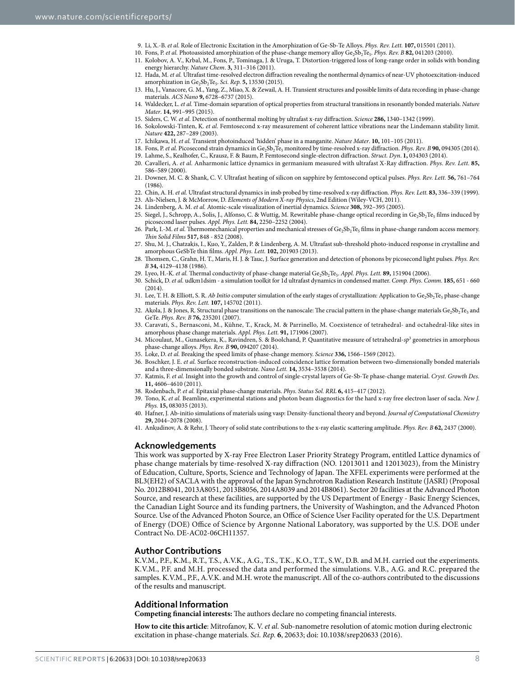- <span id="page-7-2"></span><span id="page-7-1"></span><span id="page-7-0"></span>9. Li, X.-B. *et al.* Role of Electronic Excitation in the Amorphization of Ge-Sb-Te Alloys. *Phys. Rev. Lett.* **107,** 015501 (2011).
- <span id="page-7-4"></span><span id="page-7-3"></span>10. Fons, P. *et al.* Photoassisted amorphization of the phase-change memory alloy Ge<sub>2</sub>Sb<sub>2</sub>Te<sub>5</sub>. *Phys. Rev. B* 82, 041203 (2010).
	- 11. Kolobov, A. V., Krbal, M., Fons, P., Tominaga, J. & Uruga, T. Distortion-triggered loss of long-range order in solids with bonding energy hierarchy. *Nature Chem*. **3,** 311–316 (2011).
	- 12. Hada, M. *et al.* Ultrafast time-resolved electron diffraction revealing the nonthermal dynamics of near-UV photoexcitation-induced amorphization in Ge<sub>2</sub>Sb<sub>2</sub>Te<sub>5</sub>. *Sci. Rep.* **5,** 13530 (2015).
	- 13. Hu, J., Vanacore, G. M., Yang, Z., Miao, X. & Zewail, A. H. Transient structures and possible limits of data recording in phase-change materials. *ACS Nano* **9,** 6728–6737 (2015).
	- 14. Waldecker, L. *et al.* Time-domain separation of optical properties from structural transitions in resonantly bonded materials. *Nature Mater*. **14,** 991–995 (2015).
	- 15. Siders, C. W. *et al.* Detection of nonthermal molting by ultrafast x-ray diffraction. *Science* **286,** 1340–1342 (1999).
	- 16. Sokolowski-Tinten, K. *et al.* Femtosecond x-ray measurement of coherent lattice vibrations near the Lindemann stability limit. *Nature* **422,** 287–289 (2003).
	- 17. Ichikawa, H. *et al.* Transient photoinduced 'hidden' phase in a manganite. *Nature Mater*. **10,** 101–105 (2011).
- <span id="page-7-7"></span><span id="page-7-6"></span><span id="page-7-5"></span>18. Fons, P. et al. Picosecond strain dynamics in Ge<sub>2</sub>Sb<sub>2</sub>Te<sub>5</sub> monitored by time-resolved x-ray diffraction. *Phys. Rev. B* 90, 094305 (2014). 19. Lahme, S., Kealhofer, C., Krausz, F. & Baum, P. Femtosecond single-electron diffraction. *Struct. Dyn*. **1,** 034303 (2014).
- <span id="page-7-9"></span><span id="page-7-8"></span>20. Cavalleri, A. *et al.* Anharmonic lattice dynamics in germanium measured with ultrafast X-Ray diffraction. *Phys. Rev. Lett.* **85,** 586–589 (2000).
- 21. Downer, M. C. & Shank, C. V. Ultrafast heating of silicon on sapphire by femtosecond optical pulses. *Phys. Rev. Lett.* **56,** 761–764 (1986).
- 22. Chin, A. H. *et al.* Ultrafast structural dynamics in insb probed by time-resolved x-ray diffraction. *Phys. Rev. Lett.* **83,** 336–339 (1999).
- <span id="page-7-10"></span>23. Als-Nielsen, J. & McMorrow, D. *Elements of Modern X-ray Physics*, 2nd Edition (Wiley-VCH, 2011).
- <span id="page-7-12"></span><span id="page-7-11"></span>24. Lindenberg, A. M. *et al.* Atomic-scale visualization of inertial dynamics. *Science* **308,** 392–395 (2005). 25. Siegel, J., Schropp, A., Solis, J., Alfonso, C. & Wuttig, M. Rewritable phase-change optical recording in Ge<sub>2</sub>Sb<sub>2</sub>Te<sub>5</sub> films induced by picosecond laser pulses. *Appl. Phys. Lett.* **84,** 2250–2252 (2004).
- <span id="page-7-13"></span>26. Park, I.-M. *et al.* Thermomechanical properties and mechanical stresses of Ge<sub>2</sub>Sb<sub>2</sub>Te<sub>5</sub> films in phase-change random access memory. *Thin Solid Films* **517,** 848 - 852 (2008).
- <span id="page-7-14"></span>27. Shu, M. J., Chatzakis, I., Kuo, Y., Zalden, P. & Lindenberg, A. M. Ultrafast sub-threshold photo-induced response in crystalline and amorphous GeSbTe thin films. *Appl. Phys. Lett.* **102,** 201903 (2013).
- <span id="page-7-15"></span>28. Thomsen, C., Grahn, H. T., Maris, H. J. & Tauc, J. Surface generation and detection of phonons by picosecond light pulses. *Phys. Rev. B* **34,** 4129–4138 (1986).
- <span id="page-7-16"></span>29. Lyeo, H.-K. *et al.* Thermal conductivity of phase-change material Ge<sub>2</sub>Sb<sub>2</sub>Te<sub>5</sub>. *Appl. Phys. Lett.* **89**, 151904 (2006).
- <span id="page-7-17"></span>30. Schick, D. *et al.* udkm1dsim - a simulation toolkit for 1d ultrafast dynamics in condensed matter. *Comp. Phys. Comm*. **185,** 651 - 660  $(2014)$
- <span id="page-7-18"></span>31. Lee, T. H. & Elliott, S. R. *Ab Initio* computer simulation of the early stages of crystallization: Application to Ge<sub>2</sub>Sb<sub>2</sub>Te<sub>5</sub> phase-change materials. *Phys. Rev. Lett.* **107,** 145702 (2011).
- <span id="page-7-19"></span>32. Akola, J. & Jones, R. Structural phase transitions on the nanoscale: The crucial pattern in the phase-change materials  $Ge_2Sb_2Te_5$  and GeTe. *Phys. Rev. B* **76,** 235201 (2007).
- 33. Caravati, S., Bernasconi, M., Kühne, T., Krack, M. & Parrinello, M. Coexistence of tetrahedral- and octahedral-like sites in amorphous phase change materials. *Appl. Phys. Lett.* **91,** 171906 (2007).
- 34. Micoulaut, M., Gunasekera, K., Ravindren, S. & Boolchand, P. Quantitative measure of tetrahedral-sp<sup>3</sup> geometries in amorphous phase-change alloys. *Phys. Rev. B* **90,** 094207 (2014).
- <span id="page-7-20"></span>35. Loke, D. *et al.* Breaking the speed limits of phase-change memory. *Science* **336,** 1566–1569 (2012).
- <span id="page-7-21"></span>36. Boschker, J. E. *et al.* Surface reconstruction-induced coincidence lattice formation between two-dimensionally bonded materials and a three-dimensionally bonded substrate. *Nano Lett.* **14,** 3534–3538 (2014).
- 37. Katmis, F. *et al.* Insight into the growth and control of single-crystal layers of Ge-Sb-Te phase-change material. *Cryst. Growth Des.* **11,** 4606–4610 (2011).
- <span id="page-7-22"></span>38. Rodenbach, P. *et al.* Epitaxial phase-change materials. *Phys. Status Sol. RRL* **6,** 415–417 (2012).
- <span id="page-7-23"></span>39. Tono, K. *et al.* Beamline, experimental stations and photon beam diagnostics for the hard x-ray free electron laser of sacla. *New J. Phys.* **15,** 083035 (2013).
- <span id="page-7-24"></span>40. Hafner, J. Ab-initio simulations of materials using vasp: Density-functional theory and beyond. *Journal of Computational Chemistry* **29,** 2044–2078 (2008).
- <span id="page-7-25"></span>41. Ankudinov, A. & Rehr, J. Theory of solid state contributions to the x-ray elastic scattering amplitude. *Phys. Rev. B* **62,** 2437 (2000).

### **Acknowledgements**

This work was supported by X-ray Free Electron Laser Priority Strategy Program, entitled Lattice dynamics of phase change materials by time-resolved X-ray diffraction (NO. 12013011 and 12013023), from the Ministry of Education, Culture, Sports, Science and Technology of Japan. The XFEL experiments were performed at the BL3(EH2) of SACLA with the approval of the Japan Synchrotron Radiation Research Institute (JASRI) (Proposal No. 2012B8041, 2013A8051, 2013B8056, 2014A8039 and 2014B8061). Sector 20 facilities at the Advanced Photon Source, and research at these facilities, are supported by the US Department of Energy - Basic Energy Sciences, the Canadian Light Source and its funding partners, the University of Washington, and the Advanced Photon Source. Use of the Advanced Photon Source, an Office of Science User Facility operated for the U.S. Department of Energy (DOE) Office of Science by Argonne National Laboratory, was supported by the U.S. DOE under Contract No. DE-AC02-06CH11357.

# **Author Contributions**

K.V.M., P.F., K.M., R.T., T.S., A.V.K., A.G., T.S., T.K., K.O., T.T., S.W., D.B. and M.H. carried out the experiments. K.V.M., P.F. and M.H. processed the data and performed the simulations. V.B., A.G. and R.C. prepared the samples. K.V.M., P.F., A.V.K. and M.H. wrote the manuscript. All of the co-authors contributed to the discussions of the results and manuscript.

### **Additional Information**

**Competing financial interests:** The authors declare no competing financial interests.

**How to cite this article**: Mitrofanov, K. V. *et al.* Sub-nanometre resolution of atomic motion during electronic excitation in phase-change materials. *Sci. Rep.* **6**, 20633; doi: 10.1038/srep20633 (2016).